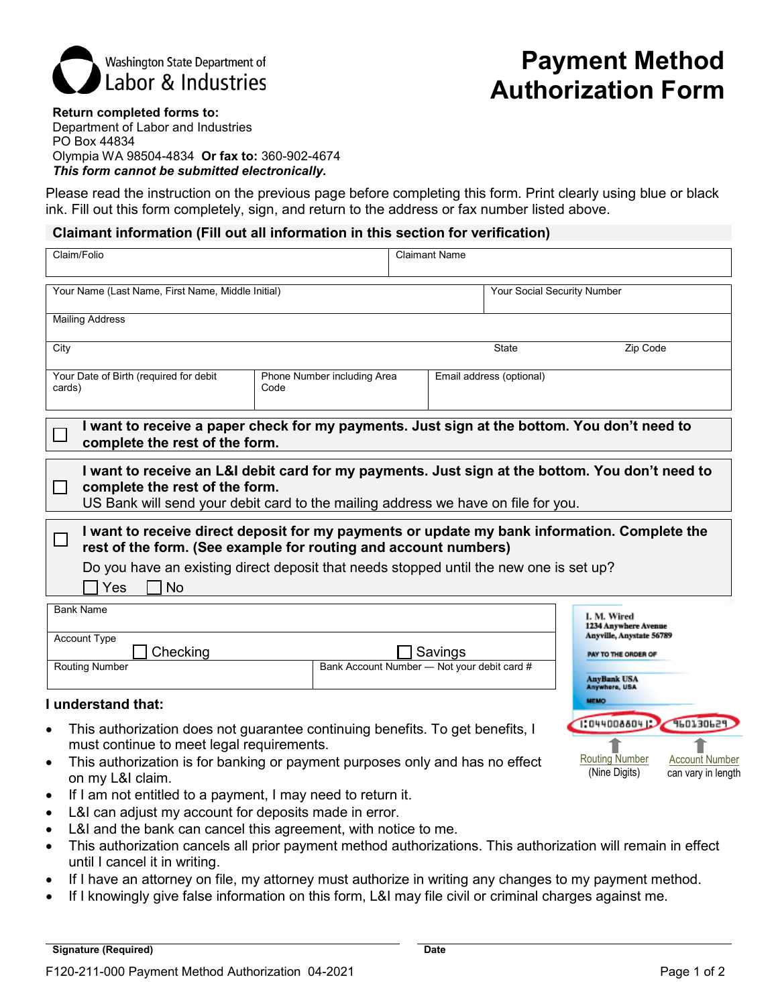

# **Payment Method Authorization Form**

**Return completed forms to:** Department of Labor and Industries PO Box 44834 Olympia WA 98504-4834 **Or fax to:** 360-902-4674 *This form cannot be submitted electronically.*

Please read the instruction on the previous page before completing this form. Print clearly using blue or black ink. Fill out this form completely, sign, and return to the address or fax number listed above.

## **Claimant information (Fill out all information in this section for verification)**

| Claim/Folio                                                                                                                                                                                                                                                                   |  | <b>Claimant Name</b>                                   |                                                                                              |  |  |
|-------------------------------------------------------------------------------------------------------------------------------------------------------------------------------------------------------------------------------------------------------------------------------|--|--------------------------------------------------------|----------------------------------------------------------------------------------------------|--|--|
| Your Name (Last Name, First Name, Middle Initial)                                                                                                                                                                                                                             |  | Your Social Security Number                            |                                                                                              |  |  |
| <b>Mailing Address</b>                                                                                                                                                                                                                                                        |  |                                                        |                                                                                              |  |  |
| City                                                                                                                                                                                                                                                                          |  | <b>State</b>                                           | Zip Code                                                                                     |  |  |
| Your Date of Birth (required for debit<br>Phone Number including Area<br>cards)<br>Code                                                                                                                                                                                       |  | Email address (optional)                               |                                                                                              |  |  |
| I want to receive a paper check for my payments. Just sign at the bottom. You don't need to<br>complete the rest of the form.                                                                                                                                                 |  |                                                        |                                                                                              |  |  |
| I want to receive an L&I debit card for my payments. Just sign at the bottom. You don't need to<br>complete the rest of the form.<br>US Bank will send your debit card to the mailing address we have on file for you.                                                        |  |                                                        |                                                                                              |  |  |
| I want to receive direct deposit for my payments or update my bank information. Complete the<br>rest of the form. (See example for routing and account numbers)<br>Do you have an existing direct deposit that needs stopped until the new one is set up?<br><b>No</b><br>Yes |  |                                                        |                                                                                              |  |  |
| <b>Bank Name</b><br><b>Account Type</b><br>Checking                                                                                                                                                                                                                           |  | Savings<br>Bank Account Number - Not your debit card # | <b>L.M. Wired</b><br>1234 Anywhere Avenue<br>Anyville, Anystate 56789<br>PAY TO THE ORDER OF |  |  |
| <b>Routing Number</b><br>and the second contract and contract the second second second and second second second second second second second                                                                                                                                   |  |                                                        | <b>AnyBank USA</b><br>Anywhere, USA<br><b>MEMO</b>                                           |  |  |

## **I understand that:**

- This authorization does not guarantee continuing benefits. To get benefits, I must continue to meet legal requirements.
- This authorization is for banking or payment purposes only and has no effect on my L&I claim.
- If I am not entitled to a payment, I may need to return it.
- L&I can adjust my account for deposits made in error.
- L&I and the bank can cancel this agreement, with notice to me.
- This authorization cancels all prior payment method authorizations. This authorization will remain in effect until I cancel it in writing.
- If I have an attorney on file, my attorney must authorize in writing any changes to my payment method.
- If I knowingly give false information on this form, L&I may file civil or criminal charges against me.

Account Number can vary in length

960130629 1

Routing Number (Nine Digits)

1:0440088041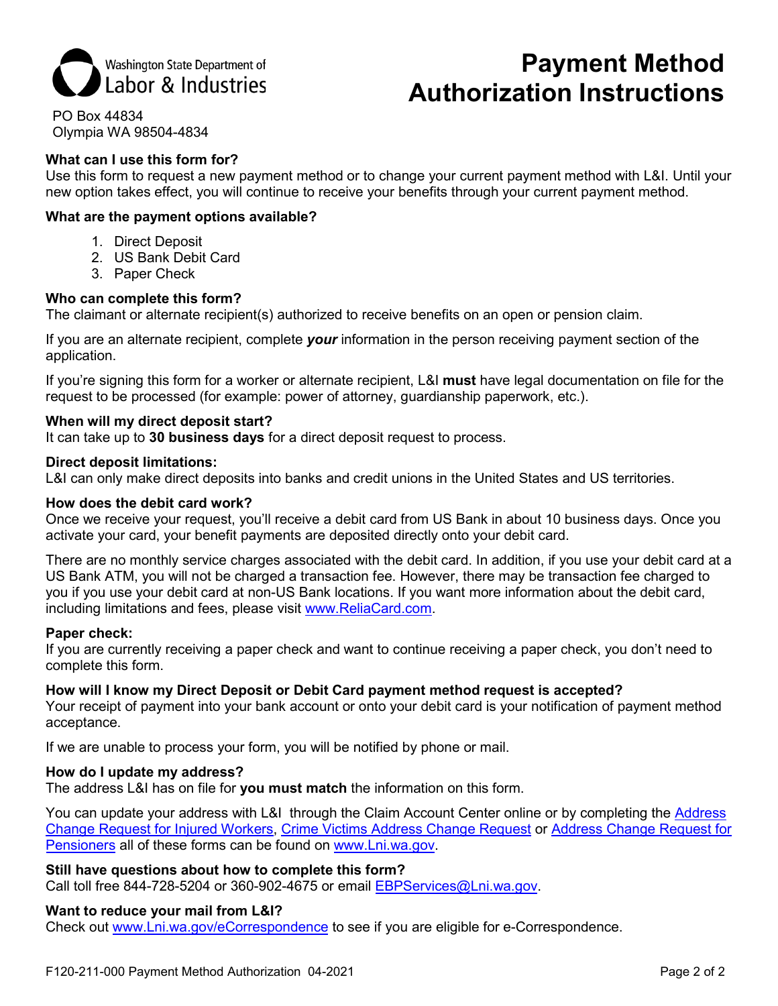

# **Payment Method Authorization Instructions**

PO Box 44834 Olympia WA 98504-4834

## **What can I use this form for?**

Use this form to request a new payment method or to change your current payment method with L&I. Until your new option takes effect, you will continue to receive your benefits through your current payment method.

## **What are the payment options available?**

- 1. Direct Deposit
- 2. US Bank Debit Card
- 3. Paper Check

## **Who can complete this form?**

The claimant or alternate recipient(s) authorized to receive benefits on an open or pension claim.

If you are an alternate recipient, complete *your* information in the person receiving payment section of the application.

If you're signing this form for a worker or alternate recipient, L&I **must** have legal documentation on file for the request to be processed (for example: power of attorney, guardianship paperwork, etc.).

## **When will my direct deposit start?**

It can take up to **30 business days** for a direct deposit request to process.

#### **Direct deposit limitations:**

L&I can only make direct deposits into banks and credit unions in the United States and US territories.

#### **How does the debit card work?**

Once we receive your request, you'll receive a debit card from US Bank in about 10 business days. Once you activate your card, your benefit payments are deposited directly onto your debit card.

There are no monthly service charges associated with the debit card. In addition, if you use your debit card at a US Bank ATM, you will not be charged a transaction fee. However, there may be transaction fee charged to you if you use your debit card at non-US Bank locations. If you want more information about the debit card, including limitations and fees, please visit [www.ReliaCard.com.](http://www.reliacard.com/)

## **Paper check:**

If you are currently receiving a paper check and want to continue receiving a paper check, you don't need to complete this form.

## **How will I know my Direct Deposit or Debit Card payment method request is accepted?**

Your receipt of payment into your bank account or onto your debit card is your notification of payment method acceptance.

If we are unable to process your form, you will be notified by phone or mail.

#### **How do I update my address?**

The address L&I has on file for **you must match** the information on this form.

You can update your address with L&I through the Claim Account Center online or by completing the [Address](http://www.lni.wa.gov/FormPub/Detail.asp?DocID=2257)  [Change Request for Injured Workers,](http://www.lni.wa.gov/FormPub/Detail.asp?DocID=2257) [Crime Victims Address Change Request](http://www.lni.wa.gov/FormPub/Detail.asp?DocID=2396) or [Address Change Request for](http://lni.wa.gov/FormPub/Detail.asp?DocID=1596)  [Pensioners](http://lni.wa.gov/FormPub/Detail.asp?DocID=1596) all of these forms can be found on [www.Lni.wa.gov.](http://www.lni.wa.gov/)

## **Still have questions about how to complete this form?**

Call toll free 844-728-5204 or 360-902-4675 or email [EBPServices@Lni.wa.gov.](mailto:EBPServices@Lni.wa.gov)

## **Want to reduce your mail from L&I?**

Check out [www.Lni.wa.gov/eCorrespondence](http://www.lni.wa.gov/eCorrespondence) to see if you are eligible for e-Correspondence.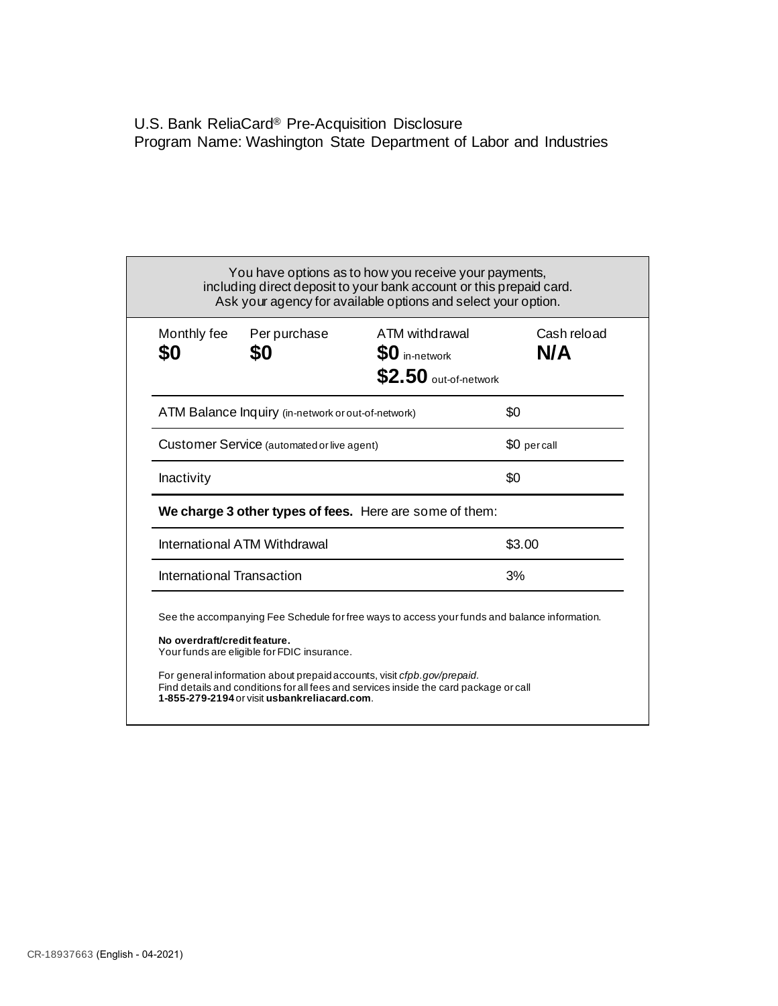U.S. Bank ReliaCard® Pre-Acquisition Disclosure Program Name: Washington State Department of Labor and Industries

| Monthly fee<br>\$0                                      | Per purchase<br>\$0 | ATM withdrawal<br>$$0$ in-network<br>$$2.50$ out-of-network                                   | Cash reload<br>N/A |  |
|---------------------------------------------------------|---------------------|-----------------------------------------------------------------------------------------------|--------------------|--|
| ATM Balance Inquiry (in-network or out-of-network)      |                     |                                                                                               | \$0                |  |
| Customer Service (automated or live agent)              |                     |                                                                                               | \$0 percall        |  |
| Inactivity                                              |                     |                                                                                               | \$0                |  |
| We charge 3 other types of fees. Here are some of them: |                     |                                                                                               |                    |  |
| International ATM Withdrawal                            |                     |                                                                                               | \$3.00             |  |
| International Transaction                               |                     |                                                                                               | 3%                 |  |
|                                                         |                     | See the accompanying Fee Schedule for free ways to access your funds and balance information. |                    |  |

Find details and conditions for all fees and services inside the card package or call **1-855-279-2194** or visit **usbankreliacard.com**.